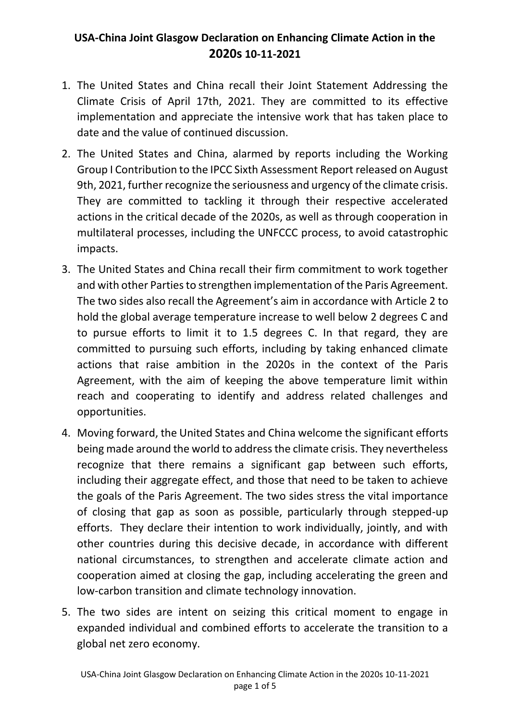## **USA-China Joint Glasgow Declaration on Enhancing Climate Action in the 2020s 10-11-2021**

- 1. The United States and China recall their Joint Statement Addressing the Climate Crisis of April 17th, 2021. They are committed to its effective implementation and appreciate the intensive work that has taken place to date and the value of continued discussion.
- 2. The United States and China, alarmed by reports including the Working Group I Contribution to the IPCC Sixth Assessment Report released on August 9th, 2021, further recognize the seriousness and urgency of the climate crisis. They are committed to tackling it through their respective accelerated actions in the critical decade of the 2020s, as well as through cooperation in multilateral processes, including the UNFCCC process, to avoid catastrophic impacts.
- 3. The United States and China recall their firm commitment to work together and with other Parties to strengthen implementation of the Paris Agreement. The two sides also recall the Agreement's aim in accordance with Article 2 to hold the global average temperature increase to well below 2 degrees C and to pursue efforts to limit it to 1.5 degrees C. In that regard, they are committed to pursuing such efforts, including by taking enhanced climate actions that raise ambition in the 2020s in the context of the Paris Agreement, with the aim of keeping the above temperature limit within reach and cooperating to identify and address related challenges and opportunities.
- 4. Moving forward, the United States and China welcome the significant efforts being made around the world to address the climate crisis. They nevertheless recognize that there remains a significant gap between such efforts, including their aggregate effect, and those that need to be taken to achieve the goals of the Paris Agreement. The two sides stress the vital importance of closing that gap as soon as possible, particularly through stepped-up efforts. They declare their intention to work individually, jointly, and with other countries during this decisive decade, in accordance with different national circumstances, to strengthen and accelerate climate action and cooperation aimed at closing the gap, including accelerating the green and low-carbon transition and climate technology innovation.
- 5. The two sides are intent on seizing this critical moment to engage in expanded individual and combined efforts to accelerate the transition to a global net zero economy.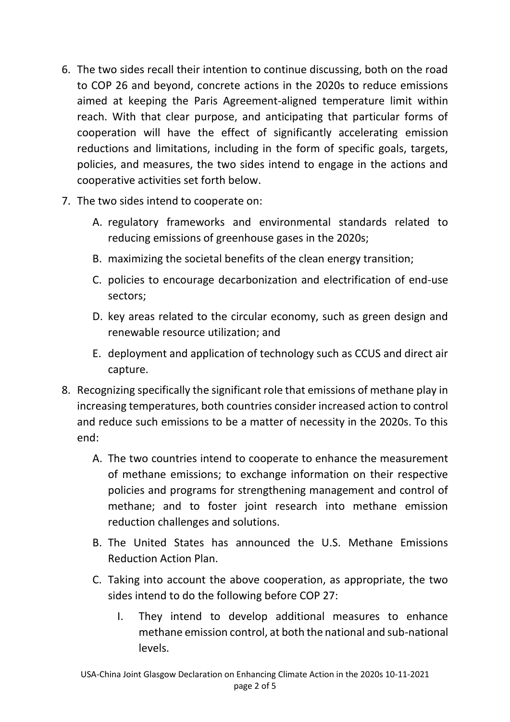- 6. The two sides recall their intention to continue discussing, both on the road to COP 26 and beyond, concrete actions in the 2020s to reduce emissions aimed at keeping the Paris Agreement-aligned temperature limit within reach. With that clear purpose, and anticipating that particular forms of cooperation will have the effect of significantly accelerating emission reductions and limitations, including in the form of specific goals, targets, policies, and measures, the two sides intend to engage in the actions and cooperative activities set forth below.
- 7. The two sides intend to cooperate on:
	- A. regulatory frameworks and environmental standards related to reducing emissions of greenhouse gases in the 2020s;
	- B. maximizing the societal benefits of the clean energy transition;
	- C. policies to encourage decarbonization and electrification of end-use sectors;
	- D. key areas related to the circular economy, such as green design and renewable resource utilization; and
	- E. deployment and application of technology such as CCUS and direct air capture.
- 8. Recognizing specifically the significant role that emissions of methane play in increasing temperatures, both countries consider increased action to control and reduce such emissions to be a matter of necessity in the 2020s. To this end:
	- A. The two countries intend to cooperate to enhance the measurement of methane emissions; to exchange information on their respective policies and programs for strengthening management and control of methane; and to foster joint research into methane emission reduction challenges and solutions.
	- B. The United States has announced the U.S. Methane Emissions Reduction Action Plan.
	- C. Taking into account the above cooperation, as appropriate, the two sides intend to do the following before COP 27:
		- I. They intend to develop additional measures to enhance methane emission control, at both the national and sub-national levels.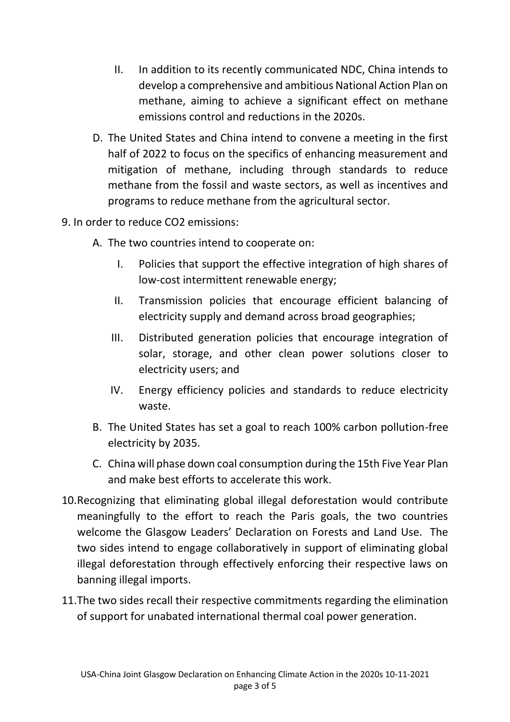- II. In addition to its recently communicated NDC, China intends to develop a comprehensive and ambitious National Action Plan on methane, aiming to achieve a significant effect on methane emissions control and reductions in the 2020s.
- D. The United States and China intend to convene a meeting in the first half of 2022 to focus on the specifics of enhancing measurement and mitigation of methane, including through standards to reduce methane from the fossil and waste sectors, as well as incentives and programs to reduce methane from the agricultural sector.
- 9. In order to reduce CO2 emissions:
	- A. The two countries intend to cooperate on:
		- I. Policies that support the effective integration of high shares of low-cost intermittent renewable energy;
		- II. Transmission policies that encourage efficient balancing of electricity supply and demand across broad geographies;
		- III. Distributed generation policies that encourage integration of solar, storage, and other clean power solutions closer to electricity users; and
		- IV. Energy efficiency policies and standards to reduce electricity waste.
	- B. The United States has set a goal to reach 100% carbon pollution-free electricity by 2035.
	- C. China will phase down coal consumption during the 15th Five Year Plan and make best efforts to accelerate this work.
- 10.Recognizing that eliminating global illegal deforestation would contribute meaningfully to the effort to reach the Paris goals, the two countries welcome the Glasgow Leaders' Declaration on Forests and Land Use. The two sides intend to engage collaboratively in support of eliminating global illegal deforestation through effectively enforcing their respective laws on banning illegal imports.
- 11.The two sides recall their respective commitments regarding the elimination of support for unabated international thermal coal power generation.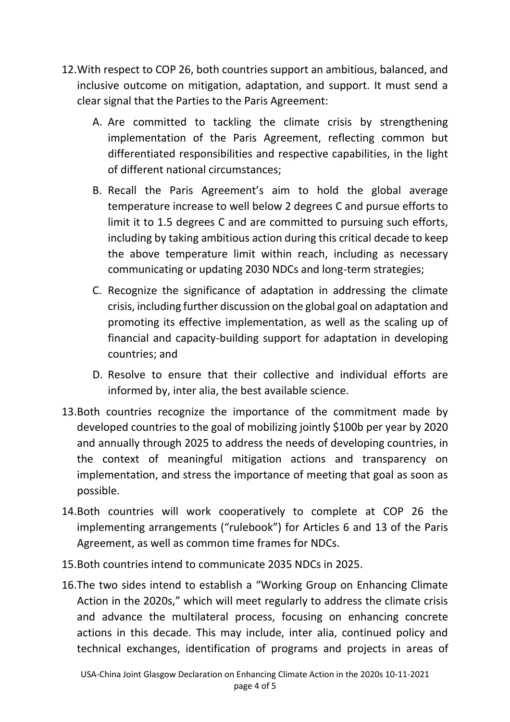- 12.With respect to COP 26, both countries support an ambitious, balanced, and inclusive outcome on mitigation, adaptation, and support. It must send a clear signal that the Parties to the Paris Agreement:
	- A. Are committed to tackling the climate crisis by strengthening implementation of the Paris Agreement, reflecting common but differentiated responsibilities and respective capabilities, in the light of different national circumstances;
	- B. Recall the Paris Agreement's aim to hold the global average temperature increase to well below 2 degrees C and pursue efforts to limit it to 1.5 degrees C and are committed to pursuing such efforts, including by taking ambitious action during this critical decade to keep the above temperature limit within reach, including as necessary communicating or updating 2030 NDCs and long-term strategies;
	- C. Recognize the significance of adaptation in addressing the climate crisis, including further discussion on the global goal on adaptation and promoting its effective implementation, as well as the scaling up of financial and capacity-building support for adaptation in developing countries; and
	- D. Resolve to ensure that their collective and individual efforts are informed by, inter alia, the best available science.
- 13.Both countries recognize the importance of the commitment made by developed countries to the goal of mobilizing jointly \$100b per year by 2020 and annually through 2025 to address the needs of developing countries, in the context of meaningful mitigation actions and transparency on implementation, and stress the importance of meeting that goal as soon as possible.
- 14.Both countries will work cooperatively to complete at COP 26 the implementing arrangements ("rulebook") for Articles 6 and 13 of the Paris Agreement, as well as common time frames for NDCs.
- 15.Both countries intend to communicate 2035 NDCs in 2025.
- 16.The two sides intend to establish a "Working Group on Enhancing Climate Action in the 2020s," which will meet regularly to address the climate crisis and advance the multilateral process, focusing on enhancing concrete actions in this decade. This may include, inter alia, continued policy and technical exchanges, identification of programs and projects in areas of